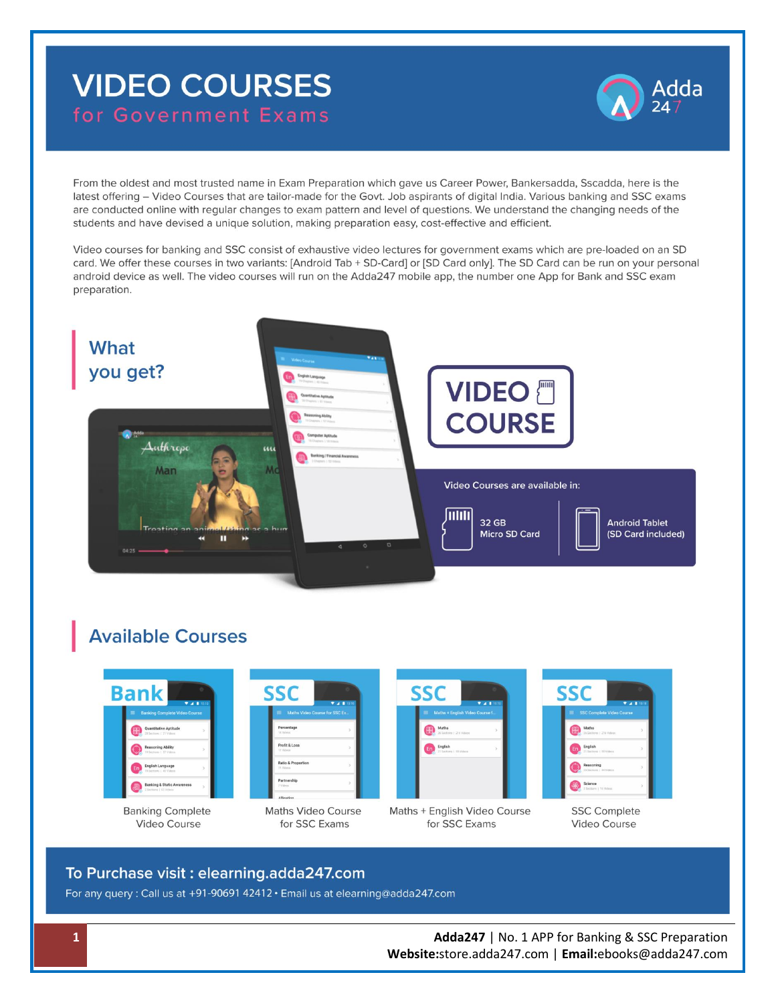# **VIDEO COURSES** for Government Exams



From the oldest and most trusted name in Exam Preparation which gave us Career Power, Bankersadda, Sscadda, here is the latest offering - Video Courses that are tailor-made for the Govt. Job aspirants of digital India. Various banking and SSC exams are conducted online with regular changes to exam pattern and level of questions. We understand the changing needs of the students and have devised a unique solution, making preparation easy, cost-effective and efficient.

Video courses for banking and SSC consist of exhaustive video lectures for government exams which are pre-loaded on an SD card. We offer these courses in two variants: [Android Tab + SD-Card] or [SD Card only]. The SD Card can be run on your personal android device as well. The video courses will run on the Adda247 mobile app, the number one App for Bank and SSC exam preparation.



# **Available Courses**



**Banking Complete** Video Course



**Maths Video Course** for SSC Exams

| Maths + English Video Course f.          |      |
|------------------------------------------|------|
| Maths<br>需<br>26 Sections 1 216 Williams | $\,$ |
| English<br>Er<br>21 Sections   55 Videos | ś    |



|   |                                      | $* 4 10:10$ |
|---|--------------------------------------|-------------|
| = | <b>SSC Complete Video Course</b>     |             |
|   | Maths<br>26 Sections 1 216 Videos    | 5           |
|   | English<br>21 Sections : 55 Videos   | 5           |
|   | Reasoning<br>25 Sections   44 Videos | 5           |
|   | Science<br>3 Sections 1 16 Videos    | s           |

**SSC Complete** Video Course

#### To Purchase visit: elearning.adda247.com

For any query: Call us at +91-90691 42412 · Email us at elearning@adda247.com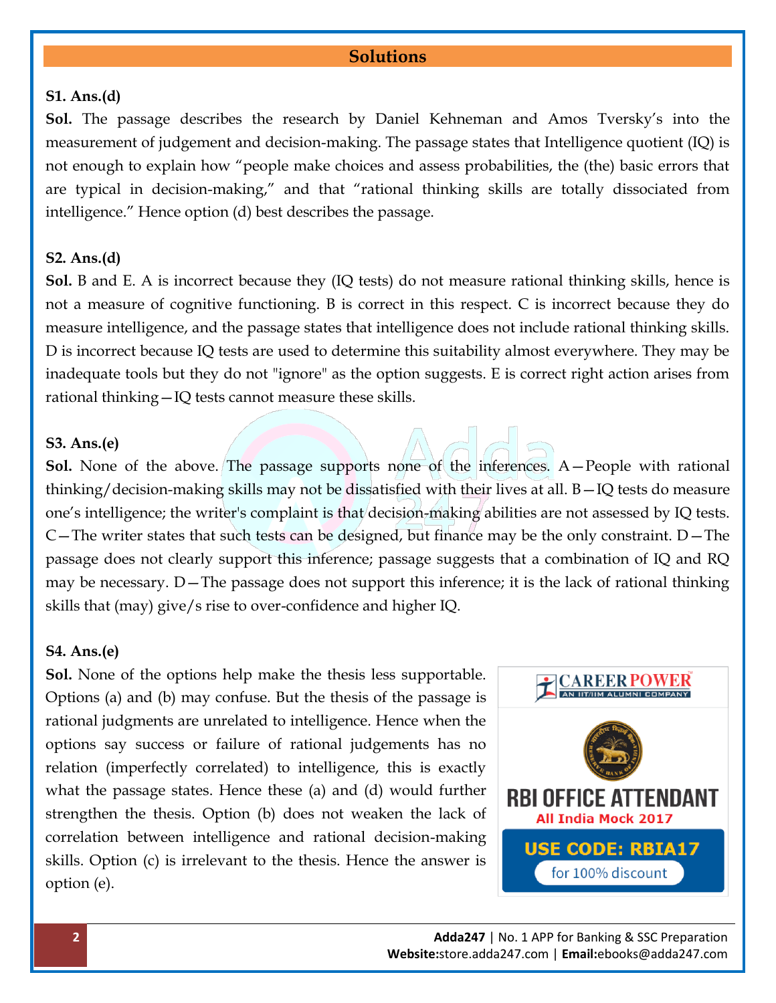#### **Solutions**

#### **S1. Ans.(d)**

**Sol.** The passage describes the research by Daniel Kehneman and Amos Tversky's into the measurement of judgement and decision-making. The passage states that Intelligence quotient (IQ) is not enough to explain how "people make choices and assess probabilities, the (the) basic errors that are typical in decision-making," and that "rational thinking skills are totally dissociated from intelligence." Hence option (d) best describes the passage.

#### **S2. Ans.(d)**

**Sol.** B and E. A is incorrect because they (IQ tests) do not measure rational thinking skills, hence is not a measure of cognitive functioning. B is correct in this respect. C is incorrect because they do measure intelligence, and the passage states that intelligence does not include rational thinking skills. D is incorrect because IQ tests are used to determine this suitability almost everywhere. They may be inadequate tools but they do not "ignore" as the option suggests. E is correct right action arises from rational thinking—IQ tests cannot measure these skills.

#### **S3. Ans.(e)**

**Sol.** None of the above. The passage supports none of the inferences. A—People with rational thinking/decision-making skills may not be dissatisfied with their lives at all. B—IQ tests do measure one's intelligence; the writer's complaint is that decision-making abilities are not assessed by IQ tests. C—The writer states that such tests can be designed, but finance may be the only constraint.  $D$ —The passage does not clearly support this inference; passage suggests that a combination of IQ and RQ may be necessary. D—The passage does not support this inference; it is the lack of rational thinking skills that (may) give/s rise to over-confidence and higher IQ.

#### **S4. Ans.(e)**

**Sol.** None of the options help make the thesis less supportable. Options (a) and (b) may confuse. But the thesis of the passage is rational judgments are unrelated to intelligence. Hence when the options say success or failure of rational judgements has no relation (imperfectly correlated) to intelligence, this is exactly what the passage states. Hence these (a) and (d) would further strengthen the thesis. Option (b) does not weaken the lack of correlation between intelligence and rational decision-making skills. Option (c) is irrelevant to the thesis. Hence the answer is option (e).

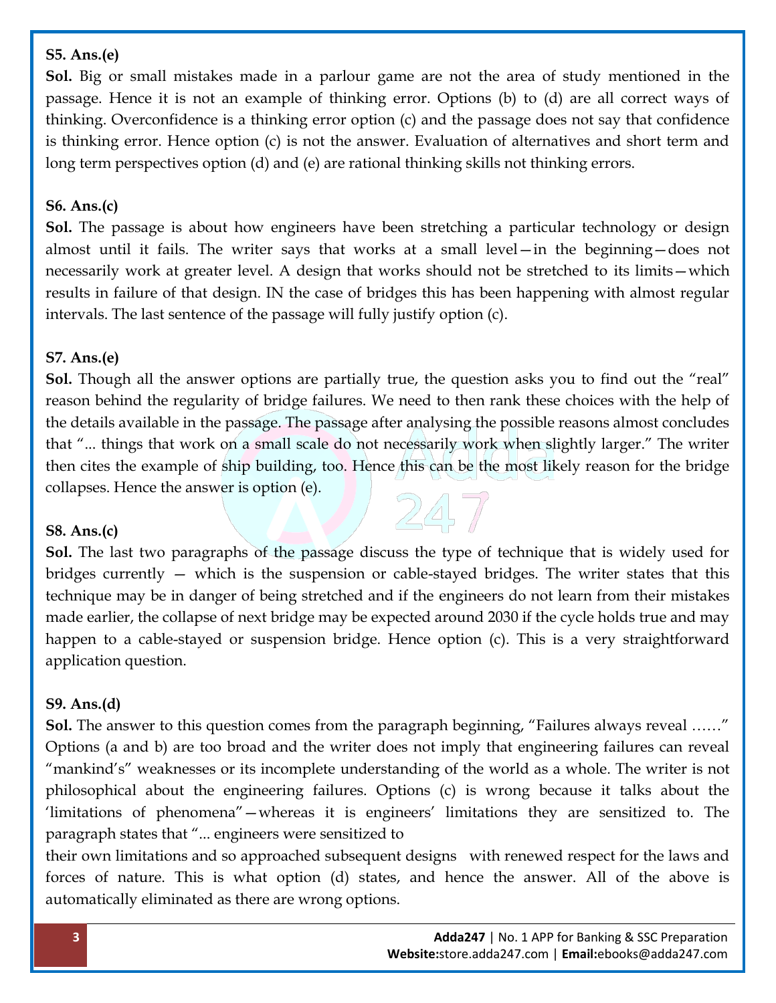#### **S5. Ans.(e)**

**Sol.** Big or small mistakes made in a parlour game are not the area of study mentioned in the passage. Hence it is not an example of thinking error. Options (b) to (d) are all correct ways of thinking. Overconfidence is a thinking error option (c) and the passage does not say that confidence is thinking error. Hence option (c) is not the answer. Evaluation of alternatives and short term and long term perspectives option (d) and (e) are rational thinking skills not thinking errors.

#### **S6. Ans.(c)**

**Sol.** The passage is about how engineers have been stretching a particular technology or design almost until it fails. The writer says that works at a small level—in the beginning—does not necessarily work at greater level. A design that works should not be stretched to its limits—which results in failure of that design. IN the case of bridges this has been happening with almost regular intervals. The last sentence of the passage will fully justify option (c).

#### **S7. Ans.(e)**

**Sol.** Though all the answer options are partially true, the question asks you to find out the "real" reason behind the regularity of bridge failures. We need to then rank these choices with the help of the details available in the passage. The passage after analysing the possible reasons almost concludes that "... things that work on a small scale do not necessarily work when slightly larger." The writer then cites the example of ship building, too. Hence this can be the most likely reason for the bridge collapses. Hence the answer is option (e).

#### **S8. Ans.(c)**

**Sol.** The last two paragraphs of the passage discuss the type of technique that is widely used for bridges currently — which is the suspension or cable-stayed bridges. The writer states that this technique may be in danger of being stretched and if the engineers do not learn from their mistakes made earlier, the collapse of next bridge may be expected around 2030 if the cycle holds true and may happen to a cable-stayed or suspension bridge. Hence option (c). This is a very straightforward application question.

## **S9. Ans.(d)**

**Sol.** The answer to this question comes from the paragraph beginning, "Failures always reveal ……" Options (a and b) are too broad and the writer does not imply that engineering failures can reveal "mankind's" weaknesses or its incomplete understanding of the world as a whole. The writer is not philosophical about the engineering failures. Options (c) is wrong because it talks about the 'limitations of phenomena"—whereas it is engineers' limitations they are sensitized to. The paragraph states that "... engineers were sensitized to

their own limitations and so approached subsequent designs with renewed respect for the laws and forces of nature. This is what option (d) states, and hence the answer. All of the above is automatically eliminated as there are wrong options.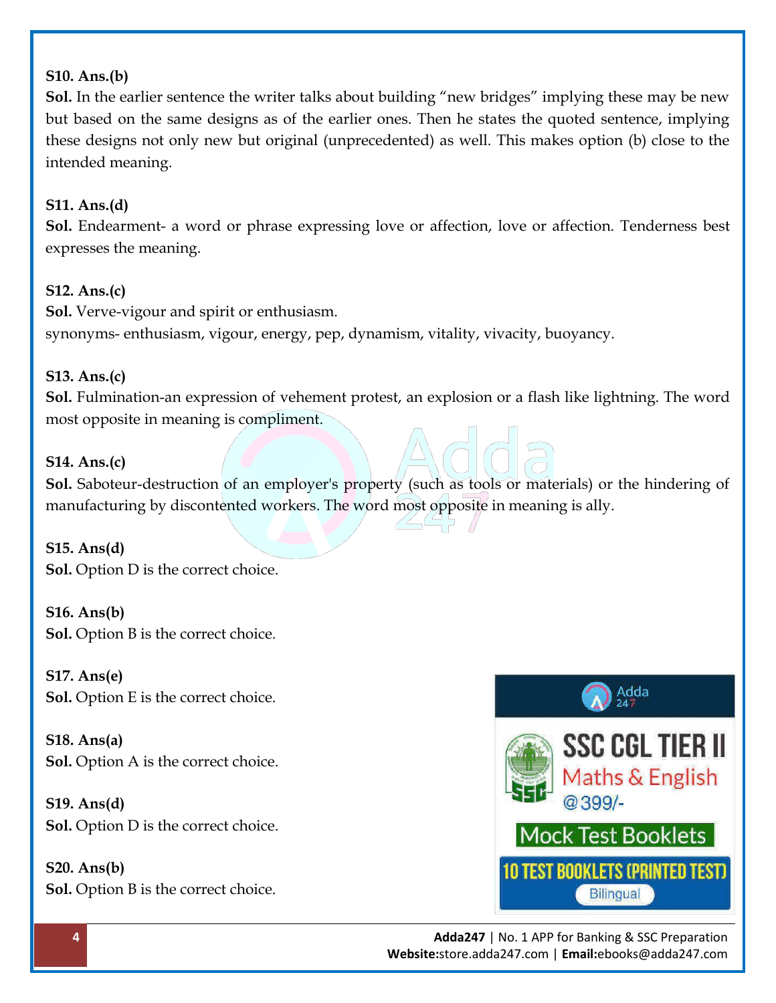#### **S10. Ans.(b)**

**Sol.** In the earlier sentence the writer talks about building "new bridges" implying these may be new but based on the same designs as of the earlier ones. Then he states the quoted sentence, implying these designs not only new but original (unprecedented) as well. This makes option (b) close to the intended meaning.

#### **S11. Ans.(d)**

**Sol.** Endearment- a word or phrase expressing love or affection, love or affection. Tenderness best expresses the meaning.

#### **S12. Ans.(c)**

**Sol.** Verve-vigour and spirit or enthusiasm. synonyms- enthusiasm, vigour, energy, pep, dynamism, vitality, vivacity, buoyancy.

## **S13. Ans.(c)**

**Sol.** Fulmination-an expression of vehement protest, an explosion or a flash like lightning. The word most opposite in meaning is compliment.

#### **S14. Ans.(c)**

**Sol.** Saboteur-destruction of an employer's property (such as tools or materials) or the hindering of manufacturing by discontented workers. The word most opposite in meaning is ally.

#### **S15. Ans(d) Sol.** Option D is the correct choice.

**S16. Ans(b) Sol.** Option B is the correct choice.

**S17. Ans(e) Sol.** Option E is the correct choice.

**S18. Ans(a) Sol.** Option A is the correct choice.

**S19. Ans(d) Sol.** Option D is the correct choice.

**S20. Ans(b) Sol.** Option B is the correct choice.





**4 Adda247** | No. 1 APP for Banking & SSC Preparation **Website:**store.adda247.com | **Email:**ebooks@adda247.com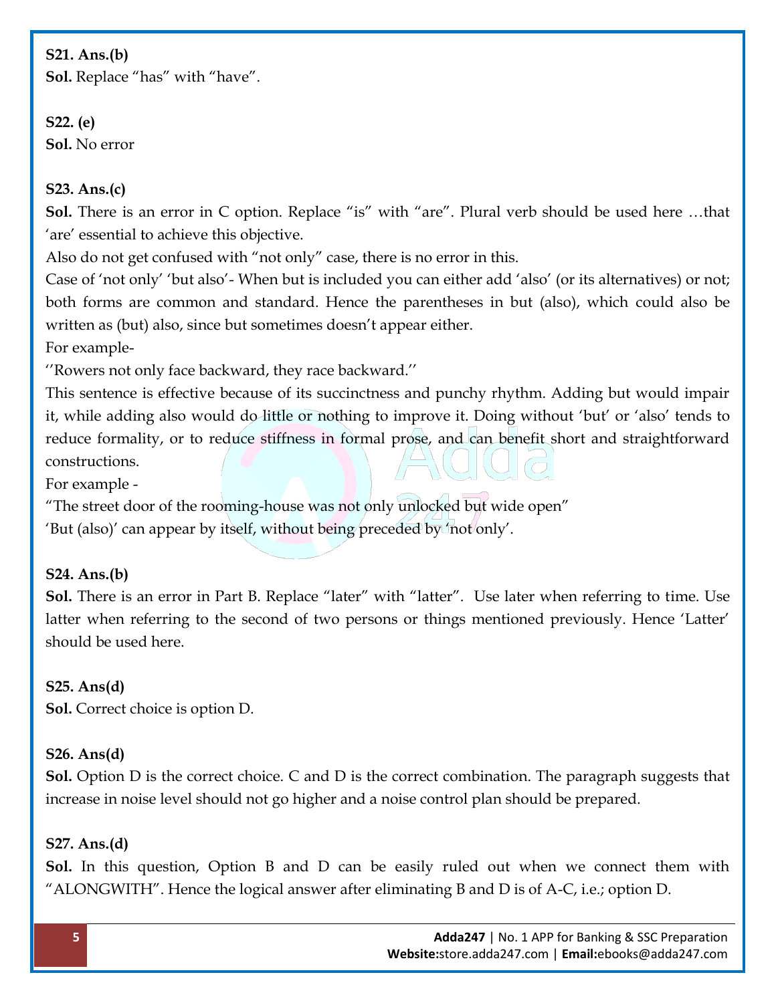#### **S21. Ans.(b)**

**Sol.** Replace "has" with "have".

## **S22. (e) Sol.** No error

#### **S23. Ans.(c)**

**Sol.** There is an error in C option. Replace "is" with "are". Plural verb should be used here …that 'are' essential to achieve this objective.

Also do not get confused with "not only" case, there is no error in this.

Case of 'not only' 'but also'- When but is included you can either add 'also' (or its alternatives) or not; both forms are common and standard. Hence the parentheses in but (also), which could also be written as (but) also, since but sometimes doesn't appear either.

For example-

''Rowers not only face backward, they race backward.''

This sentence is effective because of its succinctness and punchy rhythm. Adding but would impair it, while adding also would do little or nothing to improve it. Doing without 'but' or 'also' tends to reduce formality, or to reduce stiffness in formal prose, and can benefit short and straightforward constructions.

For example -

"The street door of the rooming-house was not only unlocked but wide open"

'But (also)' can appear by itself, without being preceded by 'not only'.

## **S24. Ans.(b)**

**Sol.** There is an error in Part B. Replace "later" with "latter". Use later when referring to time. Use latter when referring to the second of two persons or things mentioned previously. Hence 'Latter' should be used here.

## **S25. Ans(d)**

**Sol.** Correct choice is option D.

## **S26. Ans(d)**

**Sol.** Option D is the correct choice. C and D is the correct combination. The paragraph suggests that increase in noise level should not go higher and a noise control plan should be prepared.

## **S27. Ans.(d)**

**Sol.** In this question, Option B and D can be easily ruled out when we connect them with "ALONGWITH". Hence the logical answer after eliminating B and D is of A-C, i.e.; option D.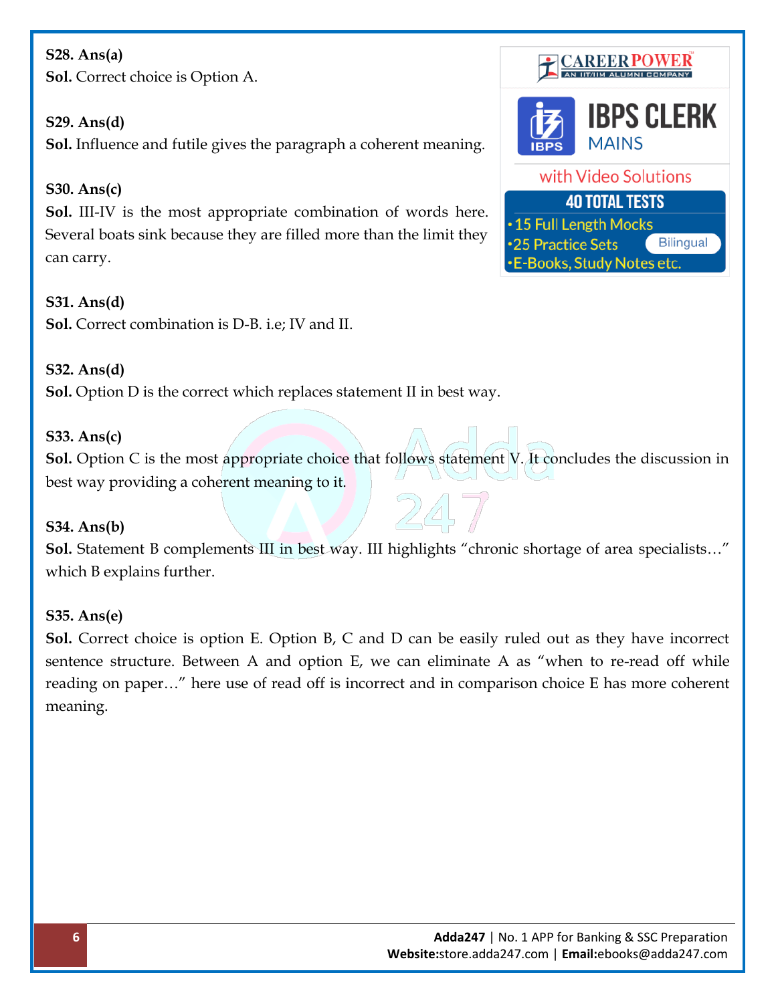# **S28. Ans(a) Sol.** Correct choice is Option A.

## **S29. Ans(d)**

**Sol.** Influence and futile gives the paragraph a coherent meaning.

## **S30. Ans(c)**

**Sol.** III-IV is the most appropriate combination of words here. Several boats sink because they are filled more than the limit they can carry.

#### **S31. Ans(d)**

**Sol.** Correct combination is D-B. i.e; IV and II.

## **S32. Ans(d)**

**Sol.** Option D is the correct which replaces statement II in best way.

## **S33. Ans(c)**

**Sol.** Option C is the most appropriate choice that follows statement V. It concludes the discussion in best way providing a coherent meaning to it.

#### **S34. Ans(b)**

**Sol.** Statement B complements III in best way. III highlights "chronic shortage of area specialists…" which B explains further.

## **S35. Ans(e)**

**Sol.** Correct choice is option E. Option B, C and D can be easily ruled out as they have incorrect sentence structure. Between A and option E, we can eliminate A as "when to re-read off while reading on paper…" here use of read off is incorrect and in comparison choice E has more coherent meaning.



•15 Full Length Mocks 25 Practice Sets **Bilingual -E-Books, Study Notes etc.**